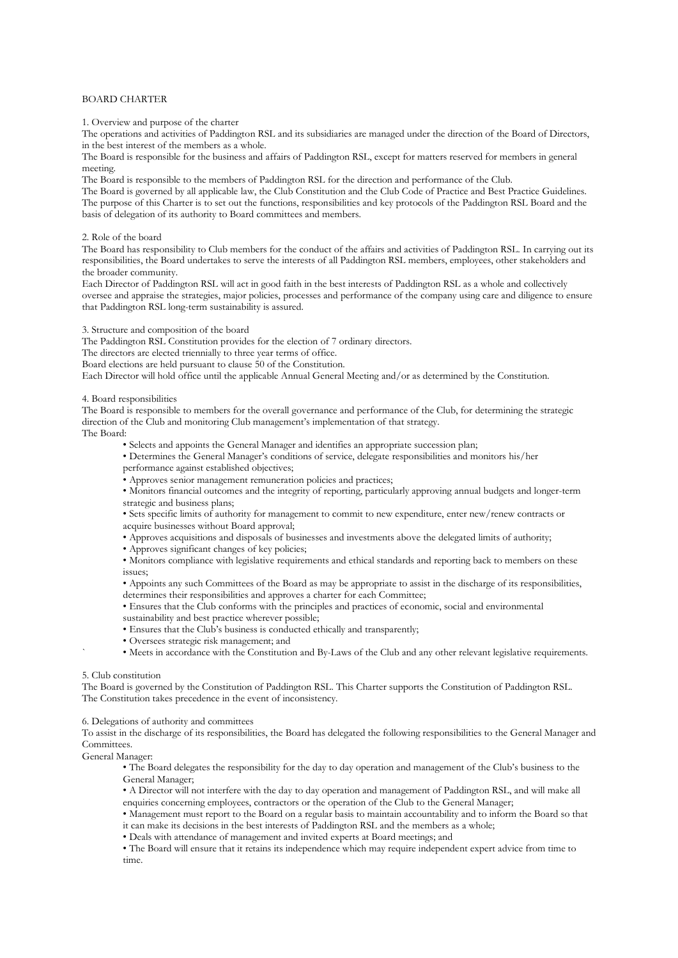# BOARD CHARTER

1. Overview and purpose of the charter

The operations and activities of Paddington RSL and its subsidiaries are managed under the direction of the Board of Directors, in the best interest of the members as a whole.

The Board is responsible for the business and affairs of Paddington RSL, except for matters reserved for members in general meeting.

The Board is responsible to the members of Paddington RSL for the direction and performance of the Club.

The Board is governed by all applicable law, the Club Constitution and the Club Code of Practice and Best Practice Guidelines. The purpose of this Charter is to set out the functions, responsibilities and key protocols of the Paddington RSL Board and the basis of delegation of its authority to Board committees and members.

2. Role of the board

The Board has responsibility to Club members for the conduct of the affairs and activities of Paddington RSL. In carrying out its responsibilities, the Board undertakes to serve the interests of all Paddington RSL members, employees, other stakeholders and the broader community.

Each Director of Paddington RSL will act in good faith in the best interests of Paddington RSL as a whole and collectively oversee and appraise the strategies, major policies, processes and performance of the company using care and diligence to ensure that Paddington RSL long-term sustainability is assured.

3. Structure and composition of the board

The Paddington RSL Constitution provides for the election of 7 ordinary directors.

The directors are elected triennially to three year terms of office.

Board elections are held pursuant to clause 50 of the Constitution.

Each Director will hold office until the applicable Annual General Meeting and/or as determined by the Constitution.

4. Board responsibilities

The Board is responsible to members for the overall governance and performance of the Club, for determining the strategic direction of the Club and monitoring Club management's implementation of that strategy.

The Board:

• Selects and appoints the General Manager and identifies an appropriate succession plan;

• Determines the General Manager's conditions of service, delegate responsibilities and monitors his/her performance against established objectives;

• Approves senior management remuneration policies and practices;

• Monitors financial outcomes and the integrity of reporting, particularly approving annual budgets and longer-term strategic and business plans;

• Sets specific limits of authority for management to commit to new expenditure, enter new/renew contracts or acquire businesses without Board approval;

• Approves acquisitions and disposals of businesses and investments above the delegated limits of authority;

• Approves significant changes of key policies;

• Monitors compliance with legislative requirements and ethical standards and reporting back to members on these issues;

• Appoints any such Committees of the Board as may be appropriate to assist in the discharge of its responsibilities, determines their responsibilities and approves a charter for each Committee;

• Ensures that the Club conforms with the principles and practices of economic, social and environmental

- sustainability and best practice wherever possible;
- Ensures that the Club's business is conducted ethically and transparently;
- Oversees strategic risk management; and

` • Meets in accordance with the Constitution and By-Laws of the Club and any other relevant legislative requirements.

#### 5. Club constitution

The Board is governed by the Constitution of Paddington RSL. This Charter supports the Constitution of Paddington RSL. The Constitution takes precedence in the event of inconsistency.

6. Delegations of authority and committees

To assist in the discharge of its responsibilities, the Board has delegated the following responsibilities to the General Manager and Committees.

General Manager:

• The Board delegates the responsibility for the day to day operation and management of the Club's business to the General Manager;

• A Director will not interfere with the day to day operation and management of Paddington RSL, and will make all enquiries concerning employees, contractors or the operation of the Club to the General Manager;

• Management must report to the Board on a regular basis to maintain accountability and to inform the Board so that it can make its decisions in the best interests of Paddington RSL and the members as a whole;

• Deals with attendance of management and invited experts at Board meetings; and

• The Board will ensure that it retains its independence which may require independent expert advice from time to time.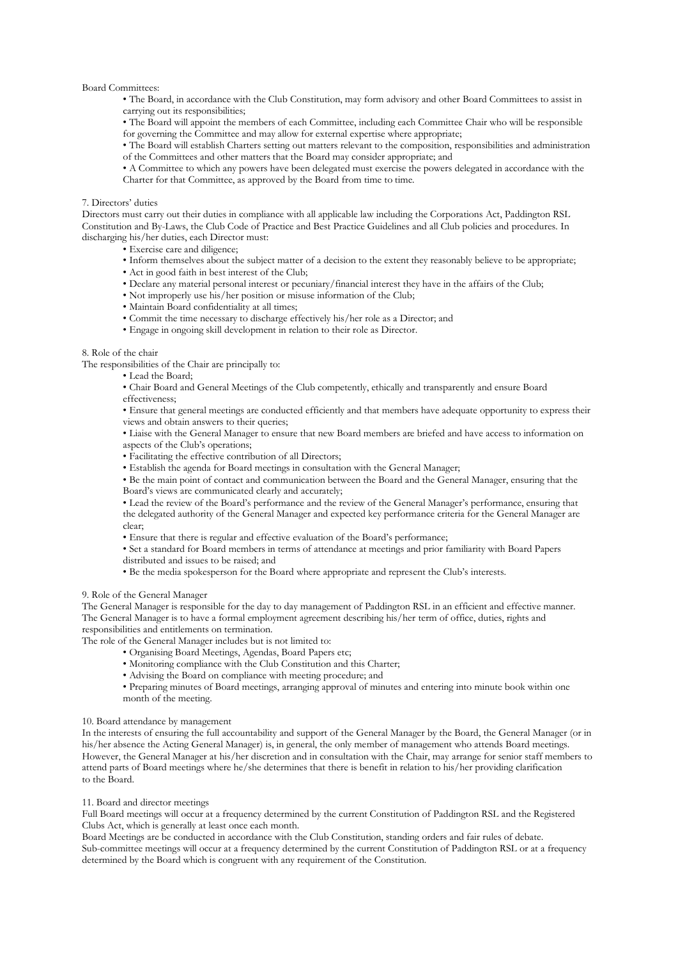### Board Committees:

- The Board, in accordance with the Club Constitution, may form advisory and other Board Committees to assist in carrying out its responsibilities;
- The Board will appoint the members of each Committee, including each Committee Chair who will be responsible for governing the Committee and may allow for external expertise where appropriate;

• The Board will establish Charters setting out matters relevant to the composition, responsibilities and administration of the Committees and other matters that the Board may consider appropriate; and

• A Committee to which any powers have been delegated must exercise the powers delegated in accordance with the Charter for that Committee, as approved by the Board from time to time.

### 7. Directors' duties

Directors must carry out their duties in compliance with all applicable law including the Corporations Act, Paddington RSL Constitution and By-Laws, the Club Code of Practice and Best Practice Guidelines and all Club policies and procedures. In discharging his/her duties, each Director must:

• Exercise care and diligence;

- Inform themselves about the subject matter of a decision to the extent they reasonably believe to be appropriate;
- Act in good faith in best interest of the Club;
- Declare any material personal interest or pecuniary/financial interest they have in the affairs of the Club;
- Not improperly use his/her position or misuse information of the Club;
- Maintain Board confidentiality at all times;
- Commit the time necessary to discharge effectively his/her role as a Director; and
- Engage in ongoing skill development in relation to their role as Director.

#### 8. Role of the chair

The responsibilities of the Chair are principally to:

- Lead the Board;
- Chair Board and General Meetings of the Club competently, ethically and transparently and ensure Board effectiveness;

• Ensure that general meetings are conducted efficiently and that members have adequate opportunity to express their views and obtain answers to their queries;

- Liaise with the General Manager to ensure that new Board members are briefed and have access to information on aspects of the Club's operations;
- Facilitating the effective contribution of all Directors;
- Establish the agenda for Board meetings in consultation with the General Manager;

• Be the main point of contact and communication between the Board and the General Manager, ensuring that the Board's views are communicated clearly and accurately;

• Lead the review of the Board's performance and the review of the General Manager's performance, ensuring that the delegated authority of the General Manager and expected key performance criteria for the General Manager are clear;

- Ensure that there is regular and effective evaluation of the Board's performance;
- Set a standard for Board members in terms of attendance at meetings and prior familiarity with Board Papers distributed and issues to be raised; and
- Be the media spokesperson for the Board where appropriate and represent the Club's interests.

# 9. Role of the General Manager

The General Manager is responsible for the day to day management of Paddington RSL in an efficient and effective manner. The General Manager is to have a formal employment agreement describing his/her term of office, duties, rights and responsibilities and entitlements on termination.

The role of the General Manager includes but is not limited to:

- Organising Board Meetings, Agendas, Board Papers etc;
- Monitoring compliance with the Club Constitution and this Charter;
- Advising the Board on compliance with meeting procedure; and
- Preparing minutes of Board meetings, arranging approval of minutes and entering into minute book within one month of the meeting.

# 10. Board attendance by management

In the interests of ensuring the full accountability and support of the General Manager by the Board, the General Manager (or in his/her absence the Acting General Manager) is, in general, the only member of management who attends Board meetings. However, the General Manager at his/her discretion and in consultation with the Chair, may arrange for senior staff members to attend parts of Board meetings where he/she determines that there is benefit in relation to his/her providing clarification to the Board.

# 11. Board and director meetings

Full Board meetings will occur at a frequency determined by the current Constitution of Paddington RSL and the Registered Clubs Act, which is generally at least once each month.

Board Meetings are be conducted in accordance with the Club Constitution, standing orders and fair rules of debate. Sub-committee meetings will occur at a frequency determined by the current Constitution of Paddington RSL or at a frequency determined by the Board which is congruent with any requirement of the Constitution.